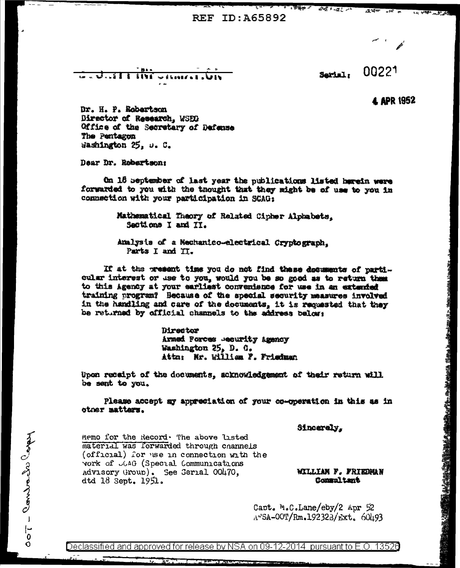REF TD: 465892

 $\overline{\mathcal{M}}$  ,  $\overline{\mathcal{M}}$  ,  $\overline{\mathcal{M}}$ 

 $-1.11$ **SIVE**  $\mathbf{a} = \mathbf{a} \mathbf{b} + \mathbf{a} \mathbf{b} + \mathbf{a} \mathbf{c} + \mathbf{a} \mathbf{c} + \mathbf{a} \mathbf{c} + \mathbf{a} \mathbf{c} + \mathbf{a} \mathbf{c} + \mathbf{a} \mathbf{c} + \mathbf{a} \mathbf{c} + \mathbf{a} \mathbf{c} + \mathbf{a} \mathbf{c} + \mathbf{a} \mathbf{c} + \mathbf{a} \mathbf{c} + \mathbf{a} \mathbf{c} + \mathbf{a} \mathbf{c} + \mathbf{a} \mathbf{c} + \mathbf{a$ 

Sarial.

 $A + 1$ 

00221

 $.2.20$ 

**4 APR 1952** 

· 4 <del>1 4 4 5 4 5 4 5 4 5 4 5</del>

Dr. H. P. Robertson Director of Research, WSED Office of the Secretary of Dafanza The Pentagon Washington 25. u. C.

Dear Dr. Robertson:

On 16 september of last year the publications listed herein were forwarded to you with the thought that they might be of use to you in connection with your participation in SCAG.

> Mathematical Theory of Related Cipher Alphabets. Sections I and II.

Amalysis of a Nechanico-electrical Cryptograph. Parts I and IT.

If at the present time you do not find these documents of particular interest or use to you, would you be so good as to return them to this Agency at your earliest convenience for use in an extended training program? Because of the special security measures involved in the handling and care of the documents, it is requested that they be returned by official channels to the address below:

> **Director** Armed Porces .ecurity Agency Washington 25. D. G. Attn: Mr. William F. Friedman

Upon recaipt of the documents, acknowledgement of their return will be sent to you.

Please accept my appreciation of your co-operation in this as in otner matters.

Sincerely.

Memo for the Record. The above listed material was forwarded through channels (official) for use in connection with the vork of JGAG (Special Communications Advisory Group). See Gerial 00470, dtd 18 Sept. 1951.

WILLIAN F. FRIEDMAN Commaltant

Capt. M.C.Lane/eby/2 Apr 52 A"SA-00T/Rm.192323/Ext. 60493